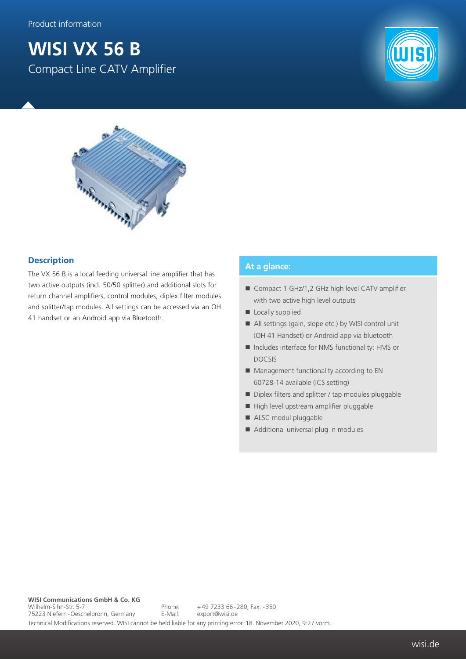## **WISI VX 56 B** Compact Line CATV Amplifier





## **Description**

The VX 56 B is a local feeding universal line amplifier that has two active outputs (incl. 50/50 splitter) and additional slots for return channel amplifiers, control modules, diplex filter modules and splitter/tap modules. All settings can be accessed via an OH 41 handset or an Android app via Bluetooth.

## **At a glance:**

- Compact 1 GHz/1,2 GHz high level CATV amplifier with two active high level outputs
- Locally supplied
- All settings (gain, slope etc.) by WISI control unit (OH 41 Handset) or Android app via bluetooth
- Includes interface for NMS functionality: HMS or DOCSIS
- **Management functionality according to EN** 60728-14 available (ICS setting)
- Diplex filters and splitter / tap modules pluggable
- High level upstream amplifier pluggable
- ALSC modul pluggable
- Additional universal plug in modules